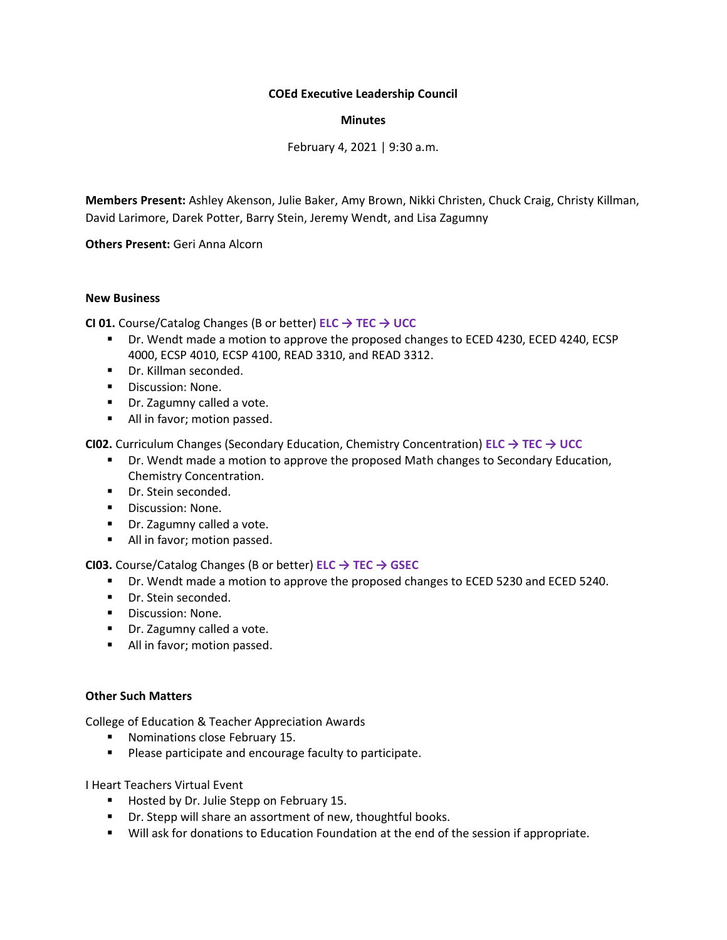## **COEd Executive Leadership Council**

## **Minutes**

February 4, 2021 | 9:30 a.m.

**Members Present:** Ashley Akenson, Julie Baker, Amy Brown, Nikki Christen, Chuck Craig, Christy Killman, David Larimore, Darek Potter, Barry Stein, Jeremy Wendt, and Lisa Zagumny

**Others Present:** Geri Anna Alcorn

## **New Business**

**CI 01.** Course/Catalog Changes (B or better) **ELC → TEC → UCC**

- Dr. Wendt made a motion to approve the proposed changes to ECED 4230, ECED 4240, ECSP 4000, ECSP 4010, ECSP 4100, READ 3310, and READ 3312.
- Dr. Killman seconded.
- Discussion: None.
- Dr. Zagumny called a vote.
- All in favor; motion passed.

**CI02.** Curriculum Changes (Secondary Education, Chemistry Concentration) **ELC → TEC → UCC**

- **■** Dr. Wendt made a motion to approve the proposed Math changes to Secondary Education, Chemistry Concentration.
- Dr. Stein seconded.
- Discussion: None.
- Dr. Zagumny called a vote.
- All in favor; motion passed.

**CI03.** Course/Catalog Changes (B or better) **ELC → TEC → GSEC**

- Dr. Wendt made a motion to approve the proposed changes to ECED 5230 and ECED 5240.
- Dr. Stein seconded.
- Discussion: None.
- Dr. Zagumny called a vote.
- All in favor; motion passed.

## **Other Such Matters**

College of Education & Teacher Appreciation Awards

- Nominations close February 15.
- Please participate and encourage faculty to participate.

I Heart Teachers Virtual Event

- Hosted by Dr. Julie Stepp on February 15.
- Dr. Stepp will share an assortment of new, thoughtful books.
- **■** Will ask for donations to Education Foundation at the end of the session if appropriate.